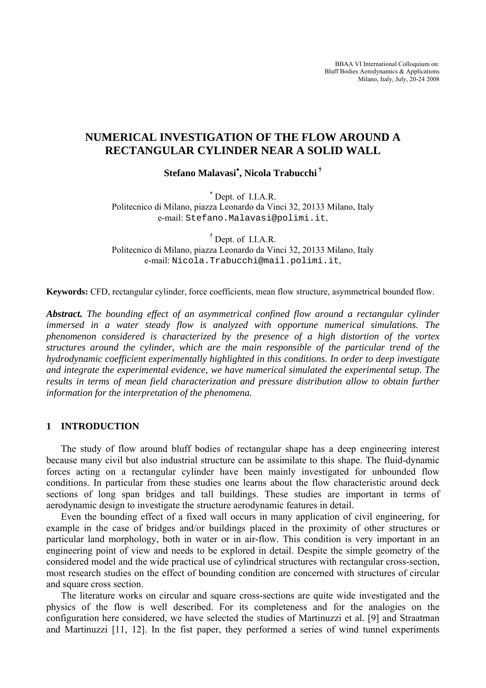BBAA VI International Colloquium on: Bluff Bodies Aerodynamics & Applications Milano, Italy, July, 20-24 2008

# **NUMERICAL INVESTIGATION OF THE FLOW AROUND A RECTANGULAR CYLINDER NEAR A SOLID WALL**

**Stefano Malavasi**<sup>∗</sup> **, Nicola Trabucchi †** 

<sup>∗</sup> Dept. of I.I.A.R. Politecnico di Milano, piazza Leonardo da Vinci 32, 20133 Milano, Italy e-mail: Stefano.Malavasi@polimi.it,

† Dept. of I.I.A.R. Politecnico di Milano, piazza Leonardo da Vinci 32, 20133 Milano, Italy e-mail: Nicola.Trabucchi@mail.polimi.it,

**Keywords:** CFD, rectangular cylinder, force coefficients, mean flow structure, asymmetrical bounded flow.

*Abstract. The bounding effect of an asymmetrical confined flow around a rectangular cylinder immersed in a water steady flow is analyzed with opportune numerical simulations. The phenomenon considered is characterized by the presence of a high distortion of the vortex structures around the cylinder, which are the main responsible of the particular trend of the hydrodynamic coefficient experimentally highlighted in this conditions. In order to deep investigate and integrate the experimental evidence, we have numerical simulated the experimental setup. The results in terms of mean field characterization and pressure distribution allow to obtain further information for the interpretation of the phenomena.* 

## **1 INTRODUCTION**

The study of flow around bluff bodies of rectangular shape has a deep engineering interest because many civil but also industrial structure can be assimilate to this shape. The fluid-dynamic forces acting on a rectangular cylinder have been mainly investigated for unbounded flow conditions. In particular from these studies one learns about the flow characteristic around deck sections of long span bridges and tall buildings. These studies are important in terms of aerodynamic design to investigate the structure aerodynamic features in detail.

Even the bounding effect of a fixed wall occurs in many application of civil engineering, for example in the case of bridges and/or buildings placed in the proximity of other structures or particular land morphology, both in water or in air-flow. This condition is very important in an engineering point of view and needs to be explored in detail. Despite the simple geometry of the considered model and the wide practical use of cylindrical structures with rectangular cross-section, most research studies on the effect of bounding condition are concerned with structures of circular and square cross section.

The literature works on circular and square cross-sections are quite wide investigated and the physics of the flow is well described. For its completeness and for the analogies on the configuration here considered, we have selected the studies of Martinuzzi et al. [9] and Straatman and Martinuzzi [11, 12]. In the fist paper, they performed a series of wind tunnel experiments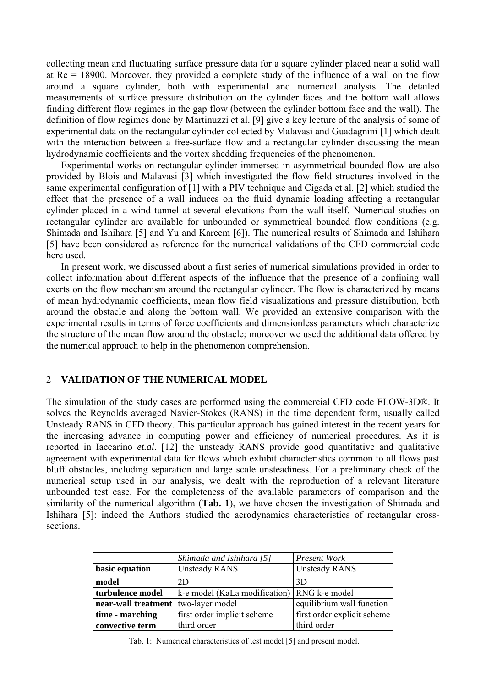collecting mean and fluctuating surface pressure data for a square cylinder placed near a solid wall at Re = 18900. Moreover, they provided a complete study of the influence of a wall on the flow around a square cylinder, both with experimental and numerical analysis. The detailed measurements of surface pressure distribution on the cylinder faces and the bottom wall allows finding different flow regimes in the gap flow (between the cylinder bottom face and the wall). The definition of flow regimes done by Martinuzzi et al. [9] give a key lecture of the analysis of some of experimental data on the rectangular cylinder collected by Malavasi and Guadagnini [1] which dealt with the interaction between a free-surface flow and a rectangular cylinder discussing the mean hydrodynamic coefficients and the vortex shedding frequencies of the phenomenon.

Experimental works on rectangular cylinder immersed in asymmetrical bounded flow are also provided by Blois and Malavasi [3] which investigated the flow field structures involved in the same experimental configuration of [1] with a PIV technique and Cigada et al. [2] which studied the effect that the presence of a wall induces on the fluid dynamic loading affecting a rectangular cylinder placed in a wind tunnel at several elevations from the wall itself. Numerical studies on rectangular cylinder are available for unbounded or symmetrical bounded flow conditions (e.g. Shimada and Ishihara [5] and Yu and Kareem [6]). The numerical results of Shimada and Ishihara [5] have been considered as reference for the numerical validations of the CFD commercial code here used.

In present work, we discussed about a first series of numerical simulations provided in order to collect information about different aspects of the influence that the presence of a confining wall exerts on the flow mechanism around the rectangular cylinder. The flow is characterized by means of mean hydrodynamic coefficients, mean flow field visualizations and pressure distribution, both around the obstacle and along the bottom wall. We provided an extensive comparison with the experimental results in terms of force coefficients and dimensionless parameters which characterize the structure of the mean flow around the obstacle; moreover we used the additional data offered by the numerical approach to help in the phenomenon comprehension.

### 2 **VALIDATION OF THE NUMERICAL MODEL**

The simulation of the study cases are performed using the commercial CFD code FLOW-3D®. It solves the Reynolds averaged Navier-Stokes (RANS) in the time dependent form, usually called Unsteady RANS in CFD theory. This particular approach has gained interest in the recent years for the increasing advance in computing power and efficiency of numerical procedures. As it is reported in Iaccarino *et.al*. [12] the unsteady RANS provide good quantitative and qualitative agreement with experimental data for flows which exhibit characteristics common to all flows past bluff obstacles, including separation and large scale unsteadiness. For a preliminary check of the numerical setup used in our analysis, we dealt with the reproduction of a relevant literature unbounded test case. For the completeness of the available parameters of comparison and the similarity of the numerical algorithm (**Tab. 1**), we have chosen the investigation of Shimada and Ishihara [5]: indeed the Authors studied the aerodynamics characteristics of rectangular crosssections.

|                                                                   | Shimada and Ishihara [5] | <b>Present Work</b>         |  |  |
|-------------------------------------------------------------------|--------------------------|-----------------------------|--|--|
| <b>Unsteady RANS</b><br>basic equation                            |                          | <b>Unsteady RANS</b>        |  |  |
| model<br>2D                                                       |                          | 3D                          |  |  |
| k-e model (KaLa modification)   RNG k-e model<br>turbulence model |                          |                             |  |  |
| near-wall treatment   two-layer model                             |                          | equilibrium wall function   |  |  |
| first order implicit scheme<br>time - marching                    |                          | first order explicit scheme |  |  |
| convective term<br>third order                                    |                          | third order                 |  |  |

Tab. 1: Numerical characteristics of test model [5] and present model.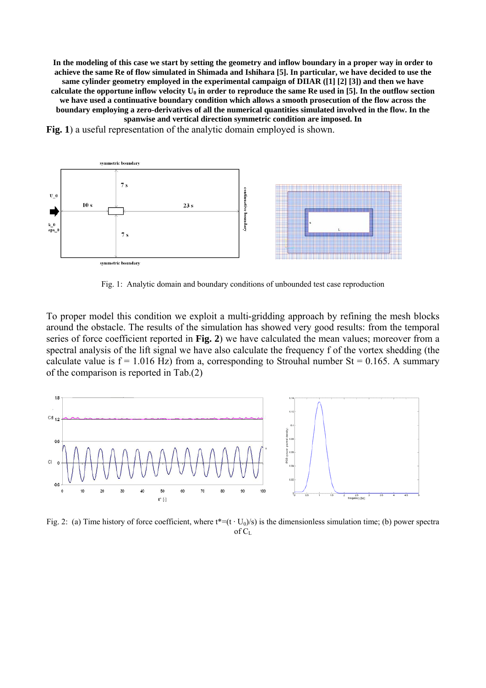**In the modeling of this case we start by setting the geometry and inflow boundary in a proper way in order to achieve the same Re of flow simulated in Shimada and Ishihara [5]. In particular, we have decided to use the same cylinder geometry employed in the experimental campaign of DIIAR ([1] [2] [3]) and then we have**  calculate the opportune inflow velocity  $U_0$  in order to reproduce the same Re used in [5]. In the outflow section **we have used a continuative boundary condition which allows a smooth prosecution of the flow across the boundary employing a zero-derivatives of all the numerical quantities simulated involved in the flow. In the spanwise and vertical direction symmetric condition are imposed. In** 

**Fig. 1**) a useful representation of the analytic domain employed is shown.



Fig. 1: Analytic domain and boundary conditions of unbounded test case reproduction

To proper model this condition we exploit a multi-gridding approach by refining the mesh blocks around the obstacle. The results of the simulation has showed very good results: from the temporal series of force coefficient reported in **Fig. 2**) we have calculated the mean values; moreover from a spectral analysis of the lift signal we have also calculate the frequency f of the vortex shedding (the calculate value is  $f = 1.016$  Hz) from a, corresponding to Strouhal number  $St = 0.165$ . A summary of the comparison is reported in Tab.(2)



Fig. 2: (a) Time history of force coefficient, where  $t^*=(t \cdot U_0)/s$  is the dimensionless simulation time; (b) power spectra of  $C_L$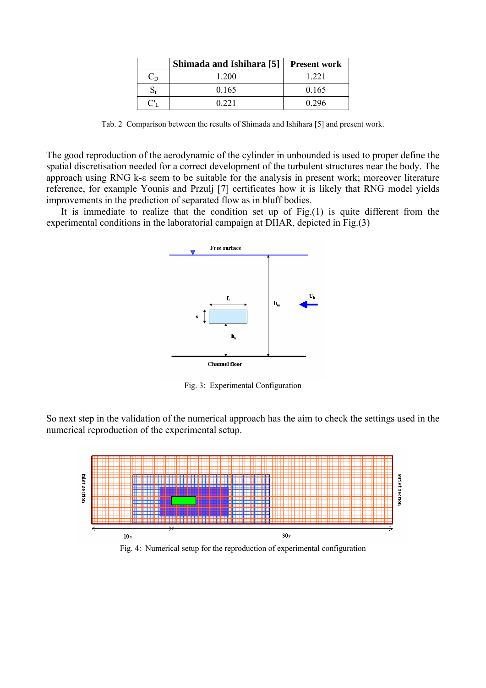|             | Shimada and Ishihara [5] | <b>Present work</b> |
|-------------|--------------------------|---------------------|
| $C_{D}$     | 1 200                    | 1 2 2 1             |
|             | 0.165                    | 0.165               |
| $C_{\rm L}$ | 0.221                    | 0.296               |

Tab. 2 Comparison between the results of Shimada and Ishihara [5] and present work.

The good reproduction of the aerodynamic of the cylinder in unbounded is used to proper define the spatial discretisation needed for a correct development of the turbulent structures near the body. The approach using RNG k-ε seem to be suitable for the analysis in present work; moreover literature reference, for example Younis and Przulj [7] certificates how it is likely that RNG model yields improvements in the prediction of separated flow as in bluff bodies.

experimental conditions in the laboratorial campaign at DIIAR, depicted in Fig. $(3)$ It is immediate to realize that the condition set up of  $Fig. (1)$  is quite different from the



Fig. 3: Experimental Configuration

So next step in the validation of the numerical approach has the aim to check the settings used in the numerical reproduction of the experimental setup.



Fig. 4: Numerical setup for the reproduction of experimental configuration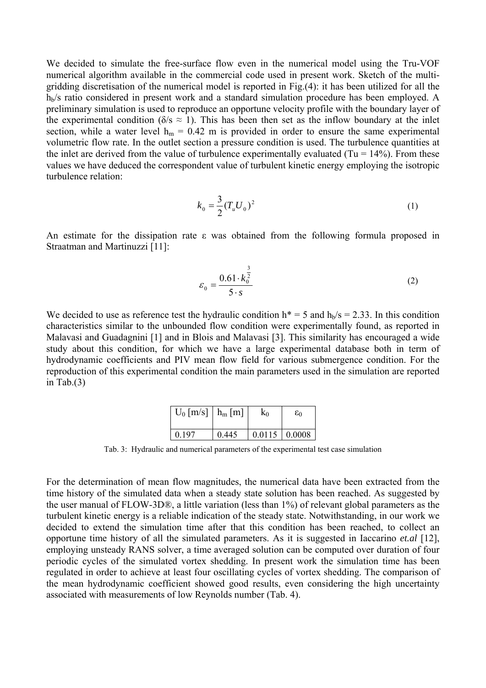We decided to simulate the free-surface flow even in the numerical model using the Tru-VOF numerical algorithm available in the commercial code used in present work. Sketch of the multigridding discretisation of the numerical model is reported in Fig.(4): it has been utilized for all the  $h_b$ /s ratio considered in present work and a standard simulation procedure has been employed. A preliminary simulation is used to reproduce an opportune velocity profile with the boundary layer of the experimental condition ( $\delta$ /s  $\approx$  1). This has been then set as the inflow boundary at the inlet section, while a water level  $h_m = 0.42$  m is provided in order to ensure the same experimental volumetric flow rate. In the outlet section a pressure condition is used. The turbulence quantities at the inlet are derived from the value of turbulence experimentally evaluated (Tu =  $14\%$ ). From these values we have deduced the correspondent value of turbulent kinetic energy employing the isotropic turbulence relation:

$$
k_0 = \frac{3}{2} (T_u U_0)^2
$$
 (1)

An estimate for the dissipation rate ε was obtained from the following formula proposed in Straatman and Martinuzzi [11]:

$$
\varepsilon_0 = \frac{0.61 \cdot k_0^{\frac{3}{2}}}{5 \cdot s} \tag{2}
$$

We decided to use as reference test the hydraulic condition  $h^* = 5$  and  $h_b/s = 2.33$ . In this condition characteristics similar to the unbounded flow condition were experimentally found, as reported in Malavasi and Guadagnini [1] and in Blois and Malavasi [3]. This similarity has encouraged a wide study about this condition, for which we have a large experimental database both in term of hydrodynamic coefficients and PIV mean flow field for various submergence condition. For the reproduction of this experimental condition the main parameters used in the simulation are reported in Tab. $(3)$ 

| $U_0$ [m/s]   $h_m$ [m] |       | K٥                   | εo |  |
|-------------------------|-------|----------------------|----|--|
|                         |       |                      |    |  |
| 0.197                   | 0.445 | $0.0115 \mid 0.0008$ |    |  |

Tab. 3: Hydraulic and numerical parameters of the experimental test case simulation

For the determination of mean flow magnitudes, the numerical data have been extracted from the time history of the simulated data when a steady state solution has been reached. As suggested by the user manual of FLOW-3D®, a little variation (less than 1%) of relevant global parameters as the turbulent kinetic energy is a reliable indication of the steady state. Notwithstanding, in our work we decided to extend the simulation time after that this condition has been reached, to collect an opportune time history of all the simulated parameters. As it is suggested in Iaccarino *et.al* [12], employing unsteady RANS solver, a time averaged solution can be computed over duration of four periodic cycles of the simulated vortex shedding. In present work the simulation time has been regulated in order to achieve at least four oscillating cycles of vortex shedding. The comparison of the mean hydrodynamic coefficient showed good results, even considering the high uncertainty associated with measurements of low Reynolds number (Tab. 4).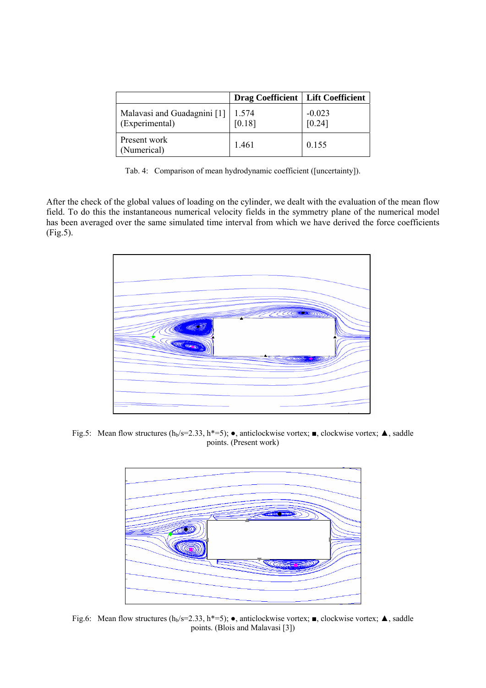|                                               | <b>Drag Coefficient   Lift Coefficient</b> |                    |
|-----------------------------------------------|--------------------------------------------|--------------------|
| Malavasi and Guadagnini [1]<br>(Experimental) | 1.574<br>[0.18]                            | $-0.023$<br>[0.24] |
| Present work<br>(Numerical)                   | 1.461                                      | 0.155              |

Tab. 4: Comparison of mean hydrodynamic coefficient ([uncertainty]).

After the check of the global values of loading on the cylinder, we dealt with the evaluation of the mean flow field. To do this the instantaneous numerical velocity fields in the symmetry plane of the numerical model has been averaged over the same simulated time interval from which we have derived the force coefficients (Fig.5).



Fig.5: Mean flow structures (h<sub>b</sub>/s=2.33, h<sup>\*</sup>=5); •, anticlockwise vortex; •, clockwise vortex;  $\blacktriangle$ , saddle points. (Present work)



Fig.6: Mean flow structures (h<sub>b</sub>/s=2.33, h\*=5); •, anticlockwise vortex; •, clockwise vortex;  $\blacktriangle$ , saddle points. (Blois and Malavasi [3])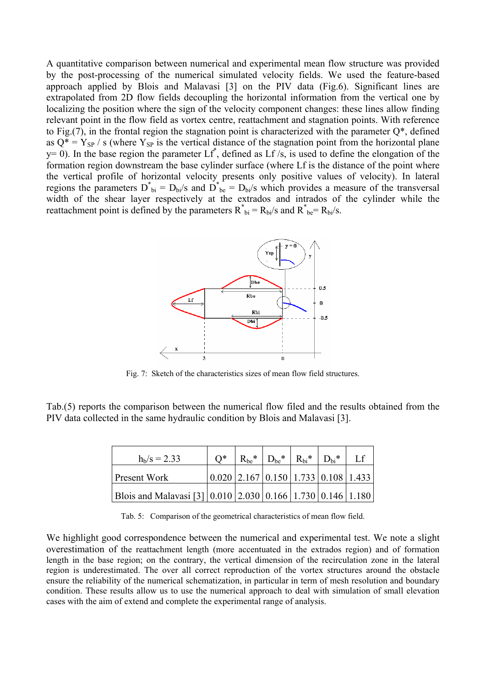A quantitative comparison between numerical and experimental mean flow structure was provided by the post-processing of the numerical simulated velocity fields. We used the feature-based approach applied by Blois and Malavasi [3] on the PIV data (Fig.6). Significant lines are extrapolated from 2D flow fields decoupling the horizontal information from the vertical one by localizing the position where the sign of the velocity component changes: these lines allow finding relevant point in the flow field as vortex centre, reattachment and stagnation points. With reference to Fig.(7), in the frontal region the stagnation point is characterized with the parameter Q\*, defined as  $Q^* = Y_{SP}$  / s (where  $Y_{SP}$  is the vertical distance of the stagnation point from the horizontal plane  $y= 0$ ). In the base region the parameter  $Lf^*$ , defined as  $Lf/s$ , is used to define the elongation of the formation region downstream the base cylinder surface (where Lf is the distance of the point where the vertical profile of horizontal velocity presents only positive values of velocity). In lateral regions the parameters  $D^*_{bi} = D_{bi}/s$  and  $D^*_{be} = D_{bi}/s$  which provides a measure of the transversal width of the shear layer respectively at the extrados and intrados of the cylinder while the reattachment point is defined by the parameters  $R^*_{bi} = R_{bi}/s$  and  $R^*_{be} = R_{bi}/s$ .



Fig. 7: Sketch of the characteristics sizes of mean flow field structures.

Tab.(5) reports the comparison between the numerical flow filed and the results obtained from the PIV data collected in the same hydraulic condition by Blois and Malavasi [3].

| $h_b/s = 2.33$                                             | ∩* | $R_{be}$ * | $D_{be}$ * | $R_{\rm bi}$ * | $D_{\text{bi}}$ *                                                               |  |
|------------------------------------------------------------|----|------------|------------|----------------|---------------------------------------------------------------------------------|--|
| <b>Present Work</b>                                        |    |            |            |                | $\vert 0.020 \vert 2.167 \vert 0.150 \vert 1.733 \vert 0.108 \vert 1.433 \vert$ |  |
| Blois and Malavasi [3] 0.010 2.030 0.166 1.730 0.146 1.180 |    |            |            |                |                                                                                 |  |

Tab. 5: Comparison of the geometrical characteristics of mean flow field.

We highlight good correspondence between the numerical and experimental test. We note a slight overestimation of the reattachment length (more accentuated in the extrados region) and of formation length in the base region; on the contrary, the vertical dimension of the recirculation zone in the lateral region is underestimated. The over all correct reproduction of the vortex structures around the obstacle ensure the reliability of the numerical schematization, in particular in term of mesh resolution and boundary condition. These results allow us to use the numerical approach to deal with simulation of small elevation cases with the aim of extend and complete the experimental range of analysis.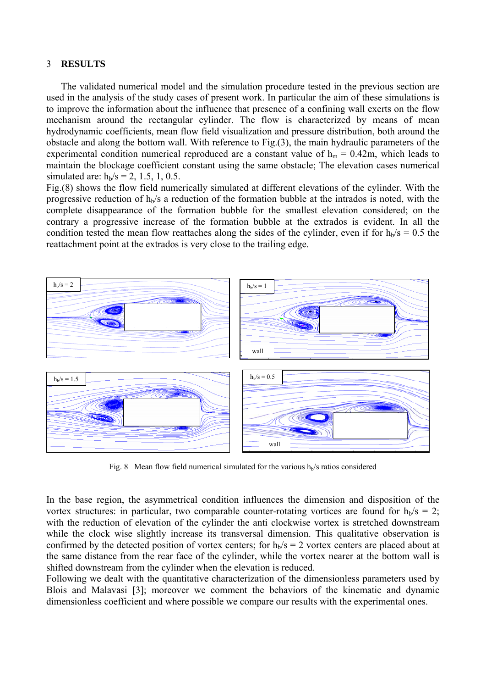### 3 **RESULTS**

The validated numerical model and the simulation procedure tested in the previous section are used in the analysis of the study cases of present work. In particular the aim of these simulations is to improve the information about the influence that presence of a confining wall exerts on the flow mechanism around the rectangular cylinder. The flow is characterized by means of mean hydrodynamic coefficients, mean flow field visualization and pressure distribution, both around the obstacle and along the bottom wall. With reference to Fig.(3), the main hydraulic parameters of the experimental condition numerical reproduced are a constant value of  $h_m = 0.42m$ , which leads to maintain the blockage coefficient constant using the same obstacle; The elevation cases numerical simulated are:  $h_b/s = 2, 1.5, 1, 0.5$ .

Fig.(8) shows the flow field numerically simulated at different elevations of the cylinder. With the progressive reduction of  $h_b/s$  a reduction of the formation bubble at the intrados is noted, with the complete disappearance of the formation bubble for the smallest elevation considered; on the contrary a progressive increase of the formation bubble at the extrados is evident. In all the condition tested the mean flow reattaches along the sides of the cylinder, even if for  $h_b/s = 0.5$  the reattachment point at the extrados is very close to the trailing edge.



Fig. 8 Mean flow field numerical simulated for the various  $h<sub>b</sub>/s$  ratios considered

In the base region, the asymmetrical condition influences the dimension and disposition of the vortex structures: in particular, two comparable counter-rotating vortices are found for  $h_b/s = 2$ ; with the reduction of elevation of the cylinder the anti clockwise vortex is stretched downstream while the clock wise slightly increase its transversal dimension. This qualitative observation is confirmed by the detected position of vortex centers; for  $h_b/s = 2$  vortex centers are placed about at the same distance from the rear face of the cylinder, while the vortex nearer at the bottom wall is shifted downstream from the cylinder when the elevation is reduced.

Following we dealt with the quantitative characterization of the dimensionless parameters used by Blois and Malavasi [3]; moreover we comment the behaviors of the kinematic and dynamic dimensionless coefficient and where possible we compare our results with the experimental ones.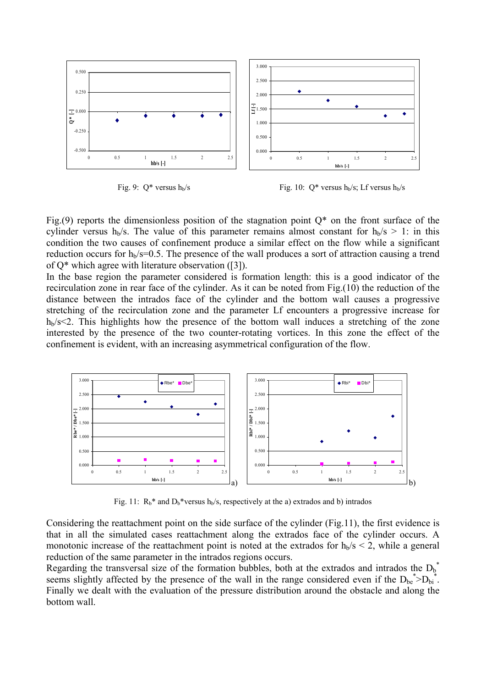

Fig. 9:  $Q^*$  versus  $h_b/s$  Fig. 10:  $Q^*$  versus  $h_b/s$ ; Lf versus  $h_b/s$ 

Fig.(9) reports the dimensionless position of the stagnation point  $Q^*$  on the front surface of the cylinder versus h<sub>b</sub>/s. The value of this parameter remains almost constant for  $h_b/s > 1$ : in this condition the two causes of confinement produce a similar effect on the flow while a significant reduction occurs for  $h_b$ /s=0.5. The presence of the wall produces a sort of attraction causing a trend of Q\* which agree with literature observation ([3]).

In the base region the parameter considered is formation length: this is a good indicator of the recirculation zone in rear face of the cylinder. As it can be noted from Fig.(10) the reduction of the distance between the intrados face of the cylinder and the bottom wall causes a progressive stretching of the recirculation zone and the parameter Lf encounters a progressive increase for  $h_b$ /s<2. This highlights how the presence of the bottom wall induces a stretching of the zone interested by the presence of the two counter-rotating vortices. In this zone the effect of the confinement is evident, with an increasing asymmetrical configuration of the flow.



Fig. 11:  $R_b^*$  and  $D_b^*$ versus  $h_b/s$ , respectively at the a) extrados and b) intrados

Considering the reattachment point on the side surface of the cylinder (Fig.11), the first evidence is that in all the simulated cases reattachment along the extrados face of the cylinder occurs. A monotonic increase of the reattachment point is noted at the extrados for  $h_b/s < 2$ , while a general reduction of the same parameter in the intrados regions occurs.

Regarding the transversal size of the formation bubbles, both at the extrados and intrados the  $D_b^*$ seems slightly affected by the presence of the wall in the range considered even if the  $D_{be}^* > D_{bi}^*$ . Finally we dealt with the evaluation of the pressure distribution around the obstacle and along the bottom wall.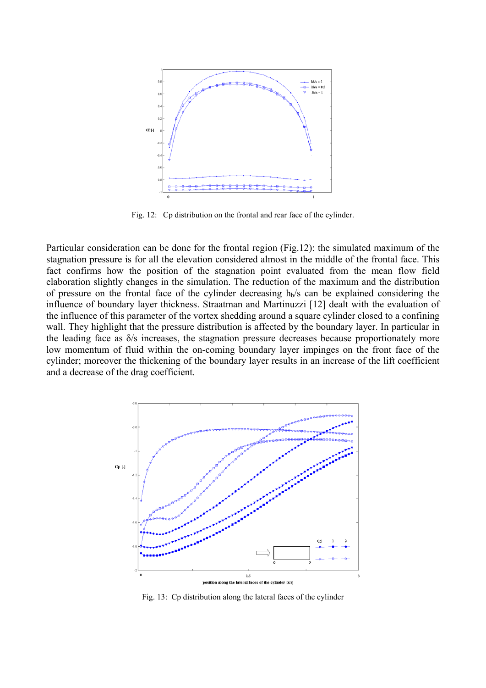

Fig. 12: Cp distribution on the frontal and rear face of the cylinder.

Particular consideration can be done for the frontal region (Fig.12): the simulated maximum of the stagnation pressure is for all the elevation considered almost in the middle of the frontal face. This fact confirms how the position of the stagnation point evaluated from the mean flow field elaboration slightly changes in the simulation. The reduction of the maximum and the distribution of pressure on the frontal face of the cylinder decreasing  $h_b/s$  can be explained considering the influence of boundary layer thickness. Straatman and Martinuzzi [12] dealt with the evaluation of the influence of this parameter of the vortex shedding around a square cylinder closed to a confining wall. They highlight that the pressure distribution is affected by the boundary layer. In particular in the leading face as δ/s increases, the stagnation pressure decreases because proportionately more low momentum of fluid within the on-coming boundary layer impinges on the front face of the cylinder; moreover the thickening of the boundary layer results in an increase of the lift coefficient and a decrease of the drag coefficient.



Fig. 13: Cp distribution along the lateral faces of the cylinder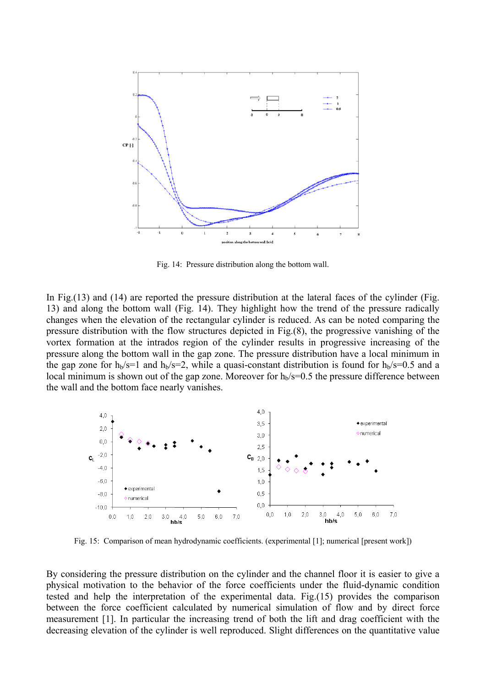

Fig. 14: Pressure distribution along the bottom wall.

In Fig.(13) and (14) are reported the pressure distribution at the lateral faces of the cylinder (Fig. 13) and along the bottom wall (Fig. 14). They highlight how the trend of the pressure radically changes when the elevation of the rectangular cylinder is reduced. As can be noted comparing the pressure distribution with the flow structures depicted in Fig.(8), the progressive vanishing of the vortex formation at the intrados region of the cylinder results in progressive increasing of the pressure along the bottom wall in the gap zone. The pressure distribution have a local minimum in the gap zone for  $h_b/s=1$  and  $h_b/s=2$ , while a quasi-constant distribution is found for  $h_b/s=0.5$  and a local minimum is shown out of the gap zone. Moreover for  $h_b$ /s=0.5 the pressure difference between the wall and the bottom face nearly vanishes.



Fig. 15: Comparison of mean hydrodynamic coefficients. (experimental [1]; numerical [present work])

By considering the pressure distribution on the cylinder and the channel floor it is easier to give a physical motivation to the behavior of the force coefficients under the fluid-dynamic condition tested and help the interpretation of the experimental data. Fig.(15) provides the comparison between the force coefficient calculated by numerical simulation of flow and by direct force measurement [1]. In particular the increasing trend of both the lift and drag coefficient with the decreasing elevation of the cylinder is well reproduced. Slight differences on the quantitative value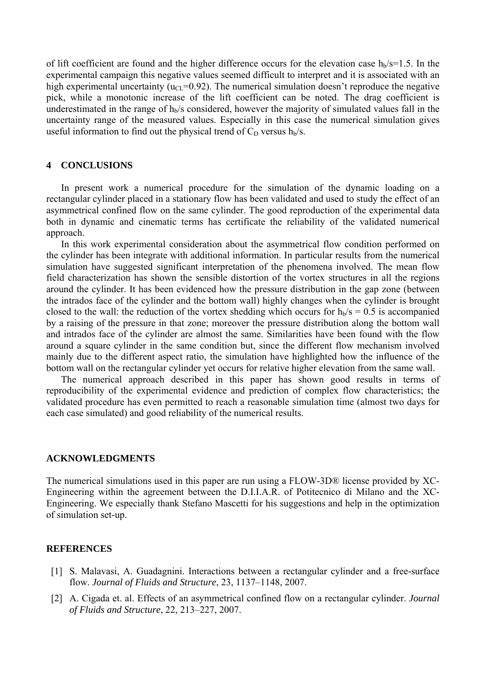of lift coefficient are found and the higher difference occurs for the elevation case  $h_b/s=1.5$ . In the experimental campaign this negative values seemed difficult to interpret and it is associated with an high experimental uncertainty ( $u_{\text{CI}}$ =0.92). The numerical simulation doesn't reproduce the negative pick, while a monotonic increase of the lift coefficient can be noted. The drag coefficient is underestimated in the range of  $h_b$ /s considered, however the majority of simulated values fall in the uncertainty range of the measured values. Especially in this case the numerical simulation gives useful information to find out the physical trend of  $C_D$  versus  $h_b/s$ .

### **4 CONCLUSIONS**

In present work a numerical procedure for the simulation of the dynamic loading on a rectangular cylinder placed in a stationary flow has been validated and used to study the effect of an asymmetrical confined flow on the same cylinder. The good reproduction of the experimental data both in dynamic and cinematic terms has certificate the reliability of the validated numerical approach.

In this work experimental consideration about the asymmetrical flow condition performed on the cylinder has been integrate with additional information. In particular results from the numerical simulation have suggested significant interpretation of the phenomena involved. The mean flow field characterization has shown the sensible distortion of the vortex structures in all the regions around the cylinder. It has been evidenced how the pressure distribution in the gap zone (between the intrados face of the cylinder and the bottom wall) highly changes when the cylinder is brought closed to the wall: the reduction of the vortex shedding which occurs for  $h_b/s = 0.5$  is accompanied by a raising of the pressure in that zone; moreover the pressure distribution along the bottom wall and intrados face of the cylinder are almost the same. Similarities have been found with the flow around a square cylinder in the same condition but, since the different flow mechanism involved mainly due to the different aspect ratio, the simulation have highlighted how the influence of the bottom wall on the rectangular cylinder yet occurs for relative higher elevation from the same wall.

The numerical approach described in this paper has shown good results in terms of reproducibility of the experimental evidence and prediction of complex flow characteristics; the validated procedure has even permitted to reach a reasonable simulation time (almost two days for each case simulated) and good reliability of the numerical results.

#### **ACKNOWLEDGMENTS**

The numerical simulations used in this paper are run using a FLOW-3D® license provided by XC-Engineering within the agreement between the D.I.I.A.R. of Potitecnico di Milano and the XC-Engineering. We especially thank Stefano Mascetti for his suggestions and help in the optimization of simulation set-up.

#### **REFERENCES**

- [1] S. Malavasi, A. Guadagnini. Interactions between a rectangular cylinder and a free-surface flow. *Journal of Fluids and Structure*, 23, 1137–1148, 2007.
- [2] A. Cigada et. al. Effects of an asymmetrical confined flow on a rectangular cylinder. *Journal of Fluids and Structure*, 22, 213–227, 2007.